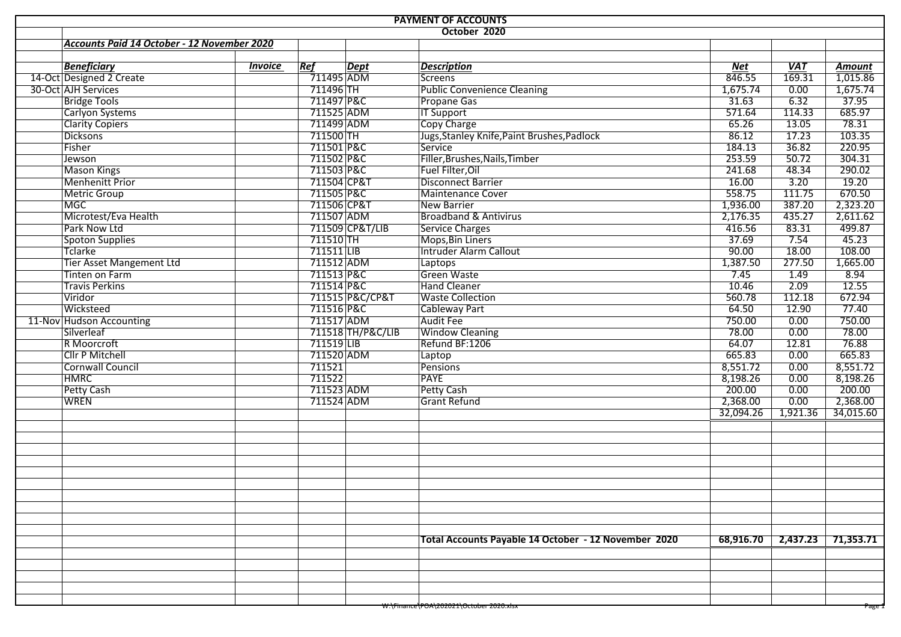| <b>PAYMENT OF ACCOUNTS</b> |                                             |                         |                   |                                                      |            |            |                      |  |  |  |  |  |
|----------------------------|---------------------------------------------|-------------------------|-------------------|------------------------------------------------------|------------|------------|----------------------|--|--|--|--|--|
|                            | October 2020                                |                         |                   |                                                      |            |            |                      |  |  |  |  |  |
|                            | Accounts Paid 14 October - 12 November 2020 |                         |                   |                                                      |            |            |                      |  |  |  |  |  |
|                            |                                             |                         |                   |                                                      |            |            |                      |  |  |  |  |  |
|                            | <b>Beneficiary</b><br><b>Invoice</b>        | Ref                     | Dept              | <b>Description</b>                                   | <b>Net</b> | <b>VAT</b> | <b>Amount</b>        |  |  |  |  |  |
|                            | 14-Oct Designed 2 Create                    | $\overline{711495}$ ADM |                   | Screens                                              | 846.55     | 169.31     | $\frac{1}{0.015.86}$ |  |  |  |  |  |
|                            | 30-Oct AJH Services                         | 711496 TH               |                   | <b>Public Convenience Cleaning</b>                   | 1,675.74   | 0.00       | 1,675.74             |  |  |  |  |  |
|                            | <b>Bridge Tools</b>                         | 711497 P&C              |                   | <b>Propane Gas</b>                                   | 31.63      | 6.32       | 37.95                |  |  |  |  |  |
|                            | <b>Carlyon Systems</b>                      | 711525 ADM              |                   | <b>IT Support</b>                                    | 571.64     | 114.33     | 685.97               |  |  |  |  |  |
|                            | <b>Clarity Copiers</b>                      | 711499 ADM              |                   | <b>Copy Charge</b>                                   | 65.26      | 13.05      | 78.31                |  |  |  |  |  |
|                            | <b>Dicksons</b>                             | 711500 TH               |                   | Jugs, Stanley Knife, Paint Brushes, Padlock          | 86.12      | 17.23      | 103.35               |  |  |  |  |  |
|                            | Fisher                                      | 711501 P&C              |                   | Service                                              | 184.13     | 36.82      | 220.95               |  |  |  |  |  |
|                            | Jewson                                      | 711502 P&C              |                   | Filler, Brushes, Nails, Timber                       | 253.59     | 50.72      | 304.31               |  |  |  |  |  |
|                            | <b>Mason Kings</b>                          | 711503 P&C              |                   | Fuel Filter, Oil                                     | 241.68     | 48.34      | 290.02               |  |  |  |  |  |
|                            | <b>Menhenitt Prior</b>                      | 711504 CP&T             |                   | <b>Disconnect Barrier</b>                            | 16.00      | 3.20       | 19.20                |  |  |  |  |  |
|                            | <b>Metric Group</b>                         | 711505 P&C              |                   | Maintenance Cover                                    | 558.75     | 111.75     | 670.50               |  |  |  |  |  |
|                            | MGC                                         | 711506 CP&T             |                   | New Barrier                                          | 1,936.00   | 387.20     | 2,323.20             |  |  |  |  |  |
|                            | Microtest/Eva Health                        | 711507 ADM              |                   | <b>Broadband &amp; Antivirus</b>                     | 2,176.35   | 435.27     | 2,611.62             |  |  |  |  |  |
|                            | Park Now Ltd                                |                         | 711509 CP&T/LIB   | Service Charges                                      | 416.56     | 83.31      | 499.87               |  |  |  |  |  |
|                            | Spoton Supplies                             | 711510 TH               |                   | Mops, Bin Liners                                     | 37.69      | 7.54       | 45.23                |  |  |  |  |  |
|                            | Tclarke                                     | 711511 LIB              |                   | <b>Intruder Alarm Callout</b>                        | 90.00      | 18.00      | 108.00               |  |  |  |  |  |
|                            | Tier Asset Mangement Ltd                    | 711512 ADM              |                   | Laptops                                              | 1,387.50   | 277.50     | 1,665.00             |  |  |  |  |  |
|                            | <b>Tinten on Farm</b>                       | 711513 P&C              |                   | Green Waste                                          | 7.45       | 1.49       | 8.94                 |  |  |  |  |  |
|                            | <b>Travis Perkins</b>                       | 711514 P&C              |                   | Hand Cleaner                                         | 10.46      | 2.09       | 12.55                |  |  |  |  |  |
|                            | Viridor                                     |                         | 711515 P&C/CP&T   | <b>Waste Collection</b>                              | 560.78     | 112.18     | 672.94               |  |  |  |  |  |
|                            | Wicksteed                                   | 711516 P&C              |                   | Cableway Part                                        | 64.50      | 12.90      | 77.40                |  |  |  |  |  |
|                            | 11-Nov Hudson Accounting                    | 711517 ADM              |                   | <b>Audit Fee</b>                                     | 750.00     | 0.00       | 750.00               |  |  |  |  |  |
|                            | Silverleaf                                  |                         | 711518 TH/P&C/LIB | <b>Window Cleaning</b>                               | 78.00      | 0.00       | 78.00                |  |  |  |  |  |
|                            | R Moorcroft                                 | $711519$ LIB            |                   | Refund BF:1206                                       | 64.07      | 12.81      | 76.88                |  |  |  |  |  |
|                            | <b>Cllr P Mitchell</b>                      | 711520 ADM              |                   | Laptop                                               | 665.83     | 0.00       | 665.83               |  |  |  |  |  |
|                            | <b>Cornwall Council</b>                     | 711521                  |                   | Pensions                                             | 8,551.72   | 0.00       | 8,551.72             |  |  |  |  |  |
|                            | <b>HMRC</b>                                 | 711522                  |                   | <b>PAYE</b>                                          | 8,198.26   | 0.00       | 8,198.26             |  |  |  |  |  |
|                            | Petty Cash                                  | 711523 ADM              |                   | <b>Petty Cash</b>                                    | 200.00     | 0.00       | 200.00               |  |  |  |  |  |
|                            | <b>WREN</b>                                 | 711524 ADM              |                   | <b>Grant Refund</b>                                  | 2,368.00   | 0.00       | 2,368.00             |  |  |  |  |  |
|                            |                                             |                         |                   |                                                      | 32,094.26  | 1,921.36   | 34,015.60            |  |  |  |  |  |
|                            |                                             |                         |                   |                                                      |            |            |                      |  |  |  |  |  |
|                            |                                             |                         |                   |                                                      |            |            |                      |  |  |  |  |  |
|                            |                                             |                         |                   |                                                      |            |            |                      |  |  |  |  |  |
|                            |                                             |                         |                   |                                                      |            |            |                      |  |  |  |  |  |
|                            |                                             |                         |                   |                                                      |            |            |                      |  |  |  |  |  |
|                            |                                             |                         |                   |                                                      |            |            |                      |  |  |  |  |  |
|                            |                                             |                         |                   |                                                      |            |            |                      |  |  |  |  |  |
|                            |                                             |                         |                   |                                                      |            |            |                      |  |  |  |  |  |
|                            |                                             |                         |                   |                                                      |            |            |                      |  |  |  |  |  |
|                            |                                             |                         |                   |                                                      |            |            |                      |  |  |  |  |  |
|                            |                                             |                         |                   | Total Accounts Payable 14 October - 12 November 2020 | 68,916.70  |            | 2,437.23 71,353.71   |  |  |  |  |  |
|                            |                                             |                         |                   |                                                      |            |            |                      |  |  |  |  |  |
|                            |                                             |                         |                   |                                                      |            |            |                      |  |  |  |  |  |
|                            |                                             |                         |                   |                                                      |            |            |                      |  |  |  |  |  |
|                            |                                             |                         |                   |                                                      |            |            |                      |  |  |  |  |  |
|                            |                                             |                         |                   |                                                      |            |            |                      |  |  |  |  |  |
|                            |                                             |                         |                   | w:\Finance\POA\Z02021\October 2020.xisx              |            |            | Page I               |  |  |  |  |  |